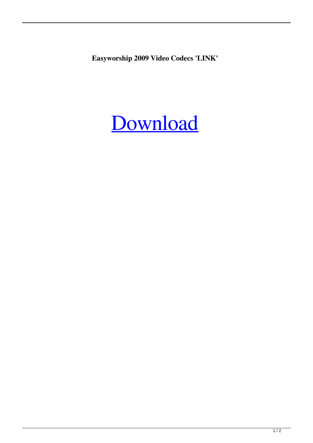**Easyworship 2009 Video Codecs 'LINK'**